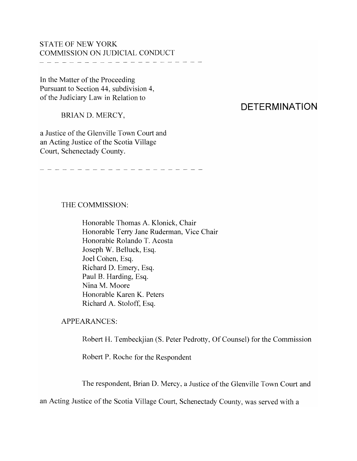## STATE OF NEW YORK COMMISSION ON JUDICIAL CONDUCT

\_\_\_\_\_\_\_\_\_\_\_\_\_\_\_\_

In the Matter of the Proceeding Pursuant to Section 44, subdivision 4,

BRIAN D. MERCY,

of the Judiciary Law in Relation to

a Justice of the Glenville Town Court and an Acting Justice of the Scotia Village Court, Schenectady County.

# **DETERMINATION**

------------------------------

## THE COMMISSION:

Honorable Thomas A. Klonick, Chair Honorable Terry Jane Ruderman, Vice Chair Honorable Rolando T. Acosta Joseph W. Belluck, Esq. Joel Cohen, Esq. Richard D. Emery, Esq. Paul B. Harding, Esq. Nina M. Moore Honorable Karen K. Peters Richard A. Stoloff, Esq.

APPEARANCES:

Robert H. Tembeckjian (S. Peter Pedrotty, Of Counsel) for the Commission

Robert P. Roche for the Respondent

The respondent, Brian D. Mercy, a Justice of the Glenville Town Court and

an Acting Justice of the Scotia Village Court, Schenectady County, was served with a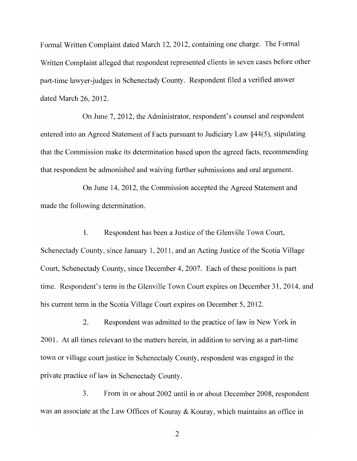Formal Written Complaint dated March 12, 2012, containing one charge. The Formal Written Complaint alleged that respondent represented clients in seven cases before other part-time lawyer-judges in Schenectady County. Respondent filed a verified answer dated March 26~ 2012.

On June 7, 2012, the Administrator, respondent's counsel and respondent entered into an Agreed Statement of Facts pursuant to Judiciary Law  $\S 44(5)$ , stipulating that the Commission make its determination based upon the agreed facts, recommending that respondent be admonished and waiving further submissions and oral argument.

On June 14, 2012, the Commission accepted the Agreed Statement and made the following determination.

1. Respondent has been a Justice of the Glenville Town Court, Schenectady County, since January 1, 2011, and an Acting Justice of the Scotia Village Court, Schenectady County, since December 4, 2007. Each of these positions is part time. Respondent's term in the Glenville Town Court expires on December 31, 2014, and his current term in the Scotia Village Court expires on December 5, 2012.

2. Respondent was admitted to the practice of law in New York in 2001. At all times relevant to the matters herein, in addition to serving as a part-time town or village court justice in Schenectady County, respondent was engaged in the private practice of law in Schenectady County.

3. From in or about 2002 until in or about December 2008, respondent was an associate at the Law Offices of Kouray & Kouray, which maintains an office in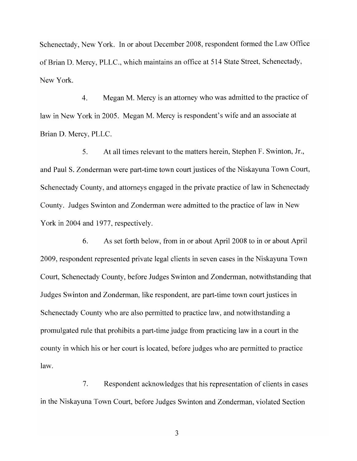Schenectady, New York. In or about December 2008, respondent formed the Law Office ofBrian D. Mercy, PLLC., which maintains an office at 514 State Street, Schenectady, New York.

4. Megan M. Mercy is an attorney who was admitted to the practice of law in New York in 2005. Megan M. Mercy is respondent's wife and an associate at Brian D. Mercy, PLLC.

5. At all times relevant to the matters herein, Stephen F. Swinton, Jr., and Paul S. Zonderman were part-time town court justices of the Niskayuna Town Court, Schenectady County, and attorneys engaged in the private practice of law in Schenectady County. Judges Swinton and Zonderman were admitted to the practice of law in New York in 2004 and 1977, respectively.

6. As set forth below, from in or about April 2008 to in or about April 2009, respondent represented private legal clients in seven cases in the Niskayuna Town Court, Schenectady County, before Judges Swinton and Zonderman, notwithstanding that Judges Swinton and Zonderman, like respondent, are part-time town court justices in Schenectady County who are also permitted to practice law, and notwithstanding a promulgated rule that prohibits a part-time judge from practicing law in a court in the county in which his or her court is located, before judges who are permitted to practice law.

7. Respondent acknowledges that his representation of clients in cases in the Niskayuna Town Court, before Judges Swinton and Zonderman, violated Section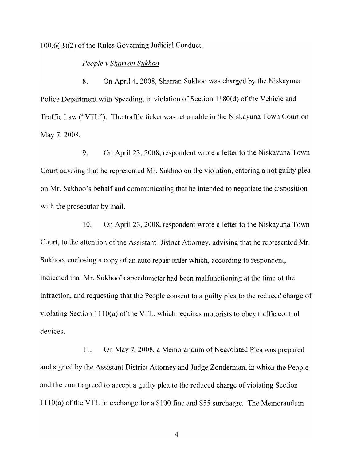$100.6(B)(2)$  of the Rules Governing Judicial Conduct.

## *People* v *Sharran Sukhoo*

8. On April 4, 2008, Sharran Sukhoo was charged by the Niskayuna Police Department with Speeding, in violation of Section 1180(d) of the Vehicle and Traffic Law ("VTL"). The traffic ticket was returnable in the Niskayuna Town Court on May 7, 2008.

9. On April 23, 2008, respondent wrote a letter to the Niskayuna Town Court advising that he represented Mr. Sukhoo on the violation, entering a not guilty plea on Mr. Sukhoo's behalf and communicating that he intended to negotiate the disposition with the prosecutor by mail.

10. On April 23, 2008, respondent wrote a letter to the Niskayuna Town Court, to the attention of the Assistant District Attorney, advising that he represented Mr. Sukhoo, enclosing a copy of an auto repair order which, according to respondent, indicated that Mr. Sukhoo's speedometer had been malfunctioning at the time of the infraction, and requesting that the People consent to a guilty plea to the reduced charge of violating Section  $1110(a)$  of the VTL, which requires motorists to obey traffic control devices.

11. On May 7, 2008, a Memorandum of Negotiated Plea was prepared and signed by the Assistant District Attorney and Judge Zondennan, in which the People and the court agreed to accept a guilty plea to the reduced charge of violating Section  $1110(a)$  of the VTL in exchange for a \$100 fine and \$55 surcharge. The Memorandum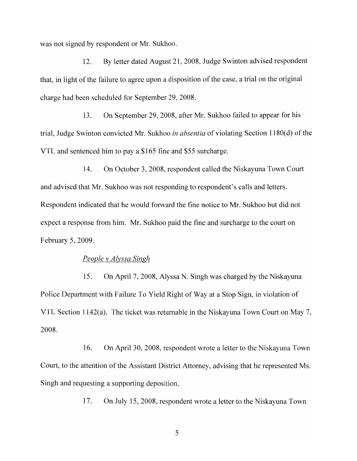was not signed by respondent or Mr. Sukhoo.

12. By letter dated August 21, 2008, Judge Swinton advised respondent that, in light of the failure to agree upon a disposition of the case, a trial on the original charge had been scheduled for September 29, 2008.

13. On September 29, 2008, after Mr. Sukhoo failed to appear for his trial, Judge Swinton convicted Mr. Sukhoo *in absentia* of violating Section 1180(d) ofthe VTL and sentenced him to pay a \$165 fine and \$55 surcharge.

14. On October 3, 2008, respondent called the Niskayuna Town Court and advised that Mr. Sukhoo was not responding to respondent's calls and letters. Respondent indicated that he would forward the fine notice to Mr. Sukhoo but did not expect a response from him. Mr. Sukhoo paid the fine and surcharge to the court on February 5,2009.

#### *People* v *Alyssa Singh*

15. On April 7,2008, Alyssa N. Singh was charged by the Niskayuna Police Department with Failure To Yield Right of Way at a Stop Sign, in violation of VTL Section 1142(a). The ticket was returnable in the Niskayuna Town Court on May 7, 2008.

16. On April 30, 2008, respondent wrote a letter to the Niskayuna Town Court, to the attention of the Assistant District Attorney, advising that he represented Ms. Singh and requesting a supporting deposition.

17. On July 15, 2008, respondent wrote a letter to the Niskayuna Town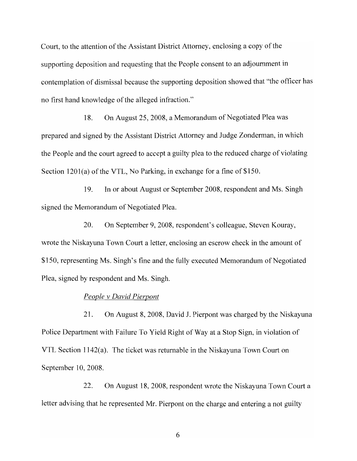Court, to the attention of the Assistant District Attorney, enclosing a copy of the supporting deposition and requesting that the People consent to an adjournment in contemplation of dismissal because the supporting deposition showed that "the officer has no first hand knowledge of the alleged infraction."

18. On August 25, 2008, a Memorandum of Negotiated Plea was prepared and signed by the Assistant District Attorney and Judge Zonderman, in which the People and the court agreed to accept a guilty plea to the reduced charge of violating Section  $1201(a)$  of the VTL, No Parking, in exchange for a fine of \$150.

19. In or about August or September 2008, respondent and Ms. Singh signed the Memorandum of Negotiated Plea.

20. On September 9, 2008, respondent's colleague, Steven Kouray, wrote the Niskayuna Town Court a letter, enclosing an escrow check in the amount of \$150, representing Ms. Singh's fine and the fully executed Memorandum of Negotiated Plea, signed by respondent and Ms. Singh.

## *People* v *David Pierpont*

21. On August 8, 2008, David J. Pierpont was charged by the Niskayuna Police Department with Failure To Yield Right of Way at a Stop Sign, in violation of VTL Section 1142(a). The ticket was returnable in the Niskayuna Town Court on September 10, 2008.

22. On August 18, 2008, respondent wrote the Niskayuna Town Court a letter advising that he represented Mr. Pierpont on the charge and entering a not guilty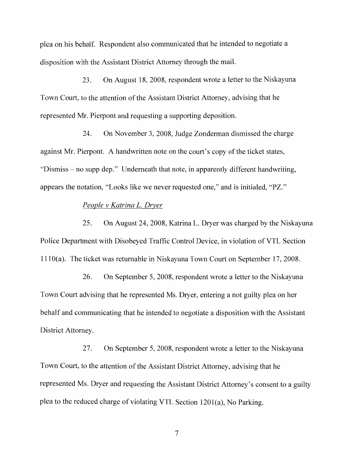plea on his behalf. Respondent also communicated that he intended to negotiate a disposition with the Assistant District Attorney through the mail.

23. On August 18, 2008, respondent wrote a letter to the Niskayuna Town Court, to the attention of the Assistant District Attorney, advising that he represented Mr. Pierpont and requesting a supporting deposition.

24. On November 3, 2008, Judge Zonderman dismissed the charge against Mr. Pierpont. A handwritten note on the court's copy of the ticket states, "Dismiss - no supp dep." Underneath that note, in apparently different handwriting, appears the notation, "Looks like we never requested one," and is initialed, "PZ."

#### *People* v *Katrina L. Dryer*

25. On August 24,2008, Katrina L. Dryer was charged by the Niskayuna Police Department with Disobeyed Traffic Control Device, in violation of VTL Section 1110(a). The ticket was returnable in Niskayuna Town Court on September 17, 2008.

26. On September 5,2008, respondent wrote a letter to the Niskayuna Town Court advising that he represented Ms. Dryer, entering a not guilty plea on her behalf and communicating that he intended to negotiate a disposition with the Assistant District Attorney.

27. On September 5,2008, respondent wrote a letter to the Niskayuna Town Court, to the attention of the Assistant District Attorney, advising that he represented Ms. Dryer and requesting the Assistant District Attorney's consent to a guilty plea to the reduced charge of violating VTL Section  $1201(a)$ , No Parking.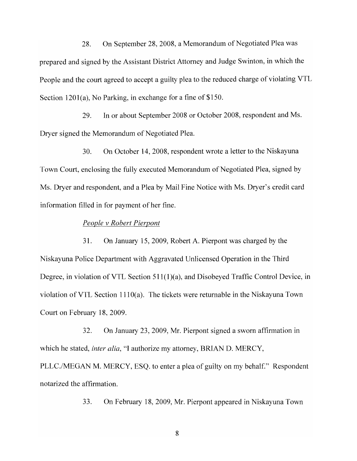28. On September 28, 2008, a Memorandum of Negotiated Plea was prepared and signed by the Assistant District Attorney and Judge Swinton, in which the People and the court agreed to accept a guilty plea to the reduced charge of violating VTL Section  $1201(a)$ , No Parking, in exchange for a fine of \$150.

29. In or about September 2008 or October 2008, respondent and Ms. Dryer signed the Memorandum of Negotiated Plea.

30. On October 14, 2008, respondent wrote a letter to the Niskayuna Town Court, enclosing the fully executed Memorandum of Negotiated Plea, signed by Ms. Dryer and respondent, and a Plea by Mail Fine Notice with Ms. Dryer's credit card information filled in for payment of her fine.

#### *People* v *Robert Pierpont*

31. On January 15, 2009, Robert A. Pierpont was charged by the Niskayuna Police Department with Aggravated Unlicensed Operation in the Third Degree, in violation of VTL Section 511(1)(a), and Disobeyed Traffic Control Device, in violation of VTL Section 1110(a). The tickets were returnable in the Niskayuna Town Court on February 18, 2009.

32. On January 23, 2009, Mr. Pierpont signed a sworn affinnation in which he stated, *inter alia,* "I authorize my attorney, BRIAN D. MERCY,

PLLC./MEGAN M. MERCY, ESQ. to enter a plea of guilty on my behalf." Respondent notarized the affirmation.

33. On February 18,2009, Mr. Pierpont appeared in Niskayuna Town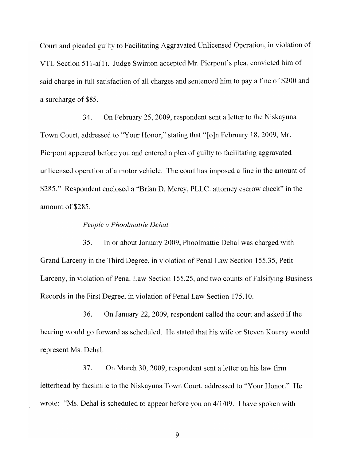Court and pleaded guilty to Facilitating Aggravated Unlicensed Operation, in violation of VTL Section 511-a(I). Judge Swinton accepted Mr. Pierpont's plea, convicted him of said charge in full satisfaction of all charges and sentenced him to pay a fine of \$200 and a surcharge of \$85.

34. On February 25, 2009, respondent sent a letter to the Niskayuna Town Court, addressed to "'Your Honor," stating that "'[o]n February 18, 2009, Mr. Pierpont appeared before you and entered a plea of guilty to facilitating aggravated unlicensed operation of a motor vehicle. The court has imposed a fine in the amount of \$285." Respondent enclosed a "Brian D. Mercy, PLLC. attorney escrow check" in the amount of\$285.

#### *People vPhoolmattie Dehal*

35. In or about January 2009, Phoolmattie Dehal was charged with Grand Larceny in the Third Degree, in violation of Penal Law Section 155.35, Petit Larceny, in violation of Penal Law Section 155.25, and two counts of Falsifying Business Records in the First Degree, in violation of Penal Law Section 175.10.

36. On January 22, 2009, respondent called the court and asked if the hearing would go forward as scheduled. He stated that his wife or Steven Kouray would represent Ms. Dehal.

37. On March 30, 2009, respondent sent a letter on his law finn letterhead by facsimile to the Niskayuna Town Court, addressed to "'Your Honor." He wrote: "Ms. Dehal is scheduled to appear before you on 4/1/09. I have spoken with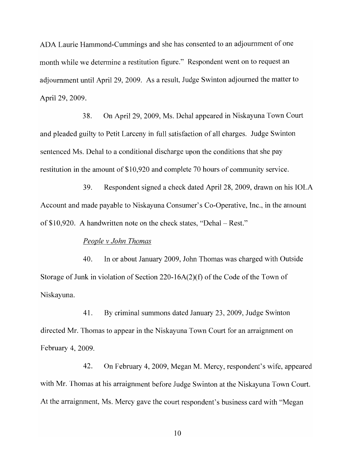ADA Laurie Hammond-Cummings and she has consented to an adjournment of one month while we determine a restitution figure." Respondent went on to request an adjournment until April 29, 2009. As a result, Judge Swinton adjourned the matter to April 29, 2009.

38. On April 29, 2009, Ms. Dehal appeared in Niskayuna Town Court and pleaded guilty to Petit Larceny in full satisfaction of all charges. Judge Swinton sentenced Ms. Dehal to a conditional discharge upon the conditions that she pay restitution in the amount of \$10,920 and complete 70 hours of community service.

39. Respondent signed a check dated April 28, 2009, drawn on his lOLA Account and made payable to Niskayuna Consumer's Co-Operative, Inc., in the amount of  $$10,920$ . A handwritten note on the check states, "Dehal – Rest."

## *People* v *John Thomas*

40. In or about January 2009, John Thomas was charged with Outside Storage of Junk in violation of Section 220-16A(2)(f) of the Code of the Town of Niskayuna.

41. By criminal summons dated January 23, 2009, Judge Swinton directed Mr. Thomas to appear in the Niskayuna Town Court for an arraignment on February 4, 2009.

42. On February 4,2009, Megan M. Mercy, respondent's wife, appeared with Mr. Thomas at his arraignment before Judge Swinton at the Niskayuna Town Court. At the arraignment, Ms. Mercy gave the court respondent's business card with "Megan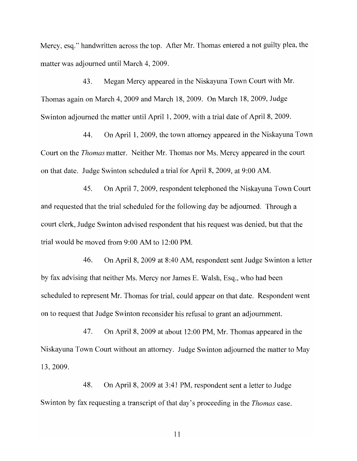Mercy, esq." handwritten across the top. After Mr. Thomas entered a not guilty plea, the matter was adjourned until March 4, 2009.

43. Megan Mercy appeared in the Niskayuna Town Court with Mr. Thomas again on March 4,2009 and March 18,2009. On March 18,2009, Judge Swinton adjourned the matter until April 1, 2009, with a trial date of April 8, 2009.

44. On April 1, 2009, the town attorney appeared in the Niskayuna Town Court on the *Thomas* matter. Neither Mr. Thomas nor Ms. Mercy appeared in the court on that date. Judge Swinton scheduled a trial for April 8, 2009, at 9:00 AM.

45. On April 7,2009, respondent telephoned the Niskayuna Town Court and requested that the trial scheduled for the following day be adjourned. Through a court clerk, Judge Swinton advised respondent that his request was denied, but that the trial would be moved from 9:00 AM to 12:00 PM.

46. On April 8, 2009 at 8:40 AM, respondent sent Judge Swinton a letter by fax advising that neither Ms. Mercy nor James E. Walsh, Esq., who had been scheduled to represent Mr. Thomas for trial, could appear on that date. Respondent went on to request that Judge Swinton reconsider his refusal to grant an adjournment.

47. On April 8, 2009 at about 12:00 PM, Mr. Thomas appeared in the Niskayuna Town Court without an attorney. Judge Swinton adjourned the matter to May 13,2009.

48. On April 8, 2009 at 3:41 PM, respondent sent a letter to Judge Swinton by fax requesting a transcript of that day's proceeding in the *Thomas* case.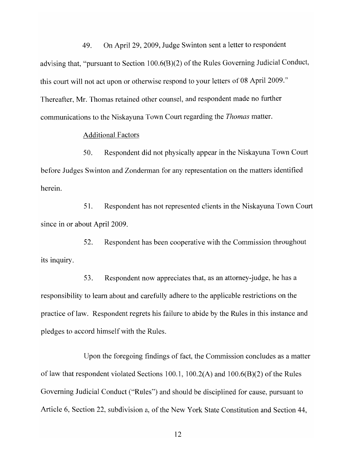49. On April 29, 2009, Judge Swinton sent a letter to respondent advising that, "pursuant to Section  $100.6(B)(2)$  of the Rules Governing Judicial Conduct, this court will not act upon or otherwise respond to your letters of 08 April 2009." Thereafter, Mr. Thomas retained other counsel, and respondent made no further communications to the Niskayuna Town Court regarding the *Thomas* matter.

## Additional Factors

50. Respondent did not physically appear in the Niskayuna Town Court before Judges Swinton and Zonderman for any representation on the matters identified herein.

51. Respondent has not represented clients in the Niskayuna Town Court since in or about April 2009.

52. Respondent has been cooperative with the Commission throughout its inquiry.

53. Respondent now appreciates that, as an attorney-judge, he has a responsibility to learn about and carefully adhere to the applicable restrictions on the practice of law. Respondent regrets his failure to abide by the Rules in this instance and pledges to accord himself with the Rules.

Upon the foregoing findings of fact, the Commission concludes as a matter of law that respondent violated Sections 100.1,  $100.2(A)$  and  $100.6(B)(2)$  of the Rules Governing Judicial Conduct ("Rules") and should be disciplined for cause, pursuant to Article 6, Section 22, subdivision a, of the New York State Constitution and Section 44,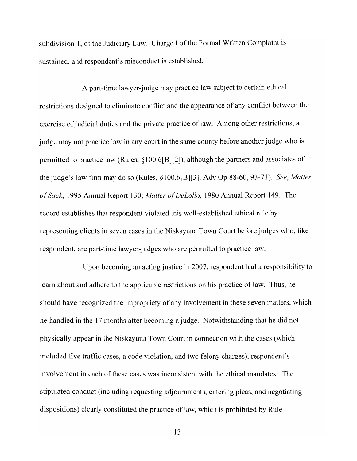subdivision 1, of the Judiciary Law. Charge I of the Formal Written Complaint is sustained, and respondent's misconduct is established.

A part-time lawyer-judge may practice law subject to certain ethical restrictions designed to eliminate conflict and the appearance of any conflict between the exercise of judicial duties and the private practice of law. Among other restrictions, a judge may not practice law in any court in the same county before another judge who is pennitted to practice law (Rules, §100.6[B][2]), although the partners and associates of the judge's law finn may do so (Rules, §100.6[B][3]; Adv Op 88-60, 93-71). *See, Matter ofSack,* 1995 Annual Report 130; *Matter ofDeLollo,* 1980 Annual Report 149. The record establishes that respondent violated this well-established ethical rule by representing clients in seven cases in the Niskayuna Town Court before judges who, like respondent, are part-time lawyer-judges who are permitted to practice law.

Upon becoming an acting justice in 2007, respondent had a responsibility to learn about and adhere to the applicable restrictions on his practice of law. Thus, he should have recognized the impropriety of any involvement in these seven matters, which he handled in the 17 months after becoming a judge. Notwithstanding that he did not physically appear in the Niskayuna Town Court in connection with the cases (which included five traffic cases, a code violation, and two felony charges), respondent's involvement in each of these cases was inconsistent with the ethical mandates. The stipulated conduct (including requesting adjournments, entering pleas, and negotiating dispositions) clearly constituted the practice of law, which is prohibited by Rule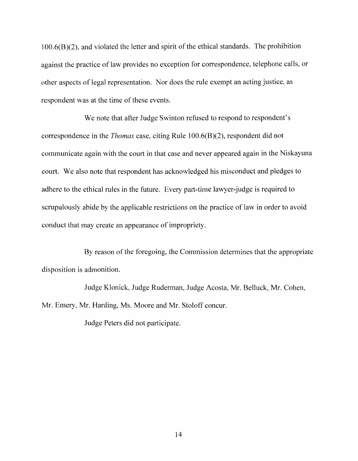$100.6(B)(2)$ , and violated the letter and spirit of the ethical standards. The prohibition against the practice of law provides no exception for correspondence, telephone calls, or other aspects of legal representation. Nor does the rule exempt an acting justice, as respondent was at the time of these events.

We note that after Judge Swinton refused to respond to respondent's correspondence in the *Thomas* case, citing Rule 100.6(B)(2), respondent did not communicate again with the court in that case and never appeared again in the Niskayuna court. We also note that respondent has acknowledged his misconduct and pledges to adhere to the ethical rules in the future. Every part-time lawyer-judge is required to scrupulously abide by the applicable restrictions on the practice of law in order to avoid conduct that may create an appearance of impropriety.

By reason of the foregoing, the Commission determines that the appropriate disposition is admonition.

Judge Klonick, Judge Rudennan, Judge Acosta, Mr. Belluck, Mr. Cohen, Mr. Emery, Mr. Harding, Ms. Moore and Mr. Stoloff concur.

Judge Peters did not participate.